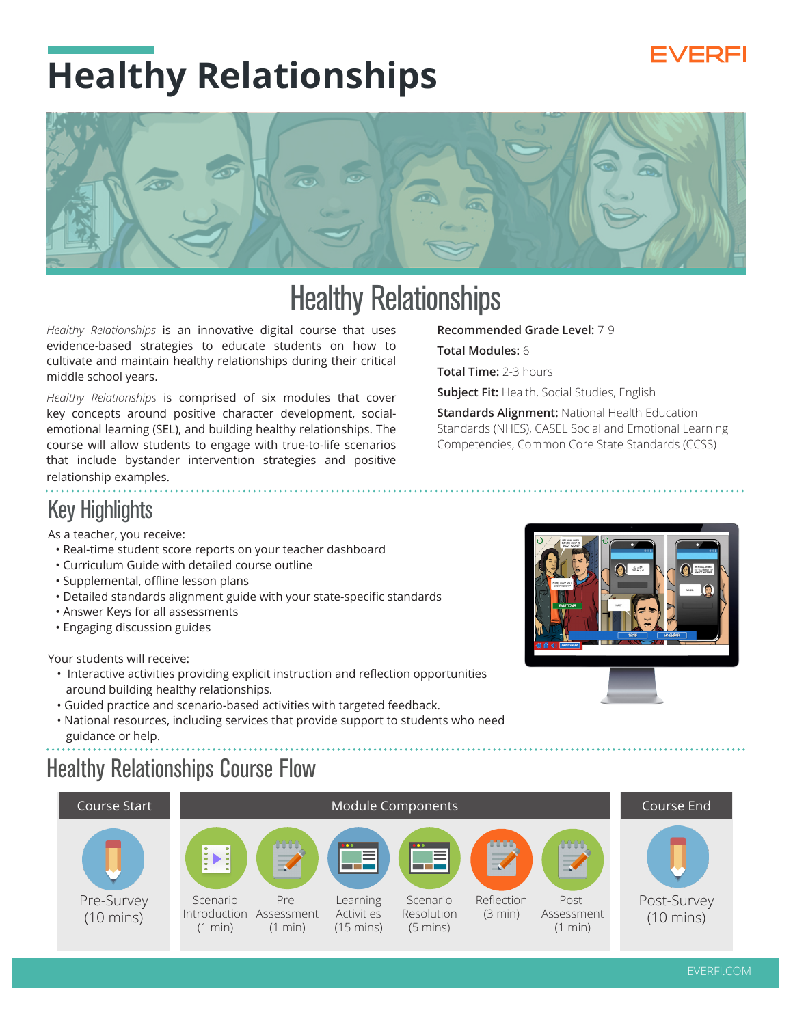#### /FREI

# **Healthy Relationships**



### Healthy Relationships

*Healthy Relationships* is an innovative digital course that uses evidence-based strategies to educate students on how to cultivate and maintain healthy relationships during their critical middle school years.

*Healthy Relationships* is comprised of six modules that cover key concepts around positive character development, socialemotional learning (SEL), and building healthy relationships. The course will allow students to engage with true-to-life scenarios that include bystander intervention strategies and positive relationship examples.

#### **Recommended Grade Level:** 7-9

**Total Modules:** 6

**Total Time:** 2-3 hours

**Subject Fit:** Health, Social Studies, English

**Standards Alignment:** National Health Education Standards (NHES), CASEL Social and Emotional Learning Competencies, Common Core State Standards (CCSS)

### Key Highlights

As a teacher, you receive:

- Real-time student score reports on your teacher dashboard
- Curriculum Guide with detailed course outline
- Supplemental, offline lesson plans
- Detailed standards alignment guide with your state-specific standards
- Answer Keys for all assessments
- Engaging discussion guides

Your students will receive:

- Interactive activities providing explicit instruction and reflection opportunities around building healthy relationships.
- Guided practice and scenario-based activities with targeted feedback.
- National resources, including services that provide support to students who need guidance or help.

#### Healthy Relationships Course Flow



IG